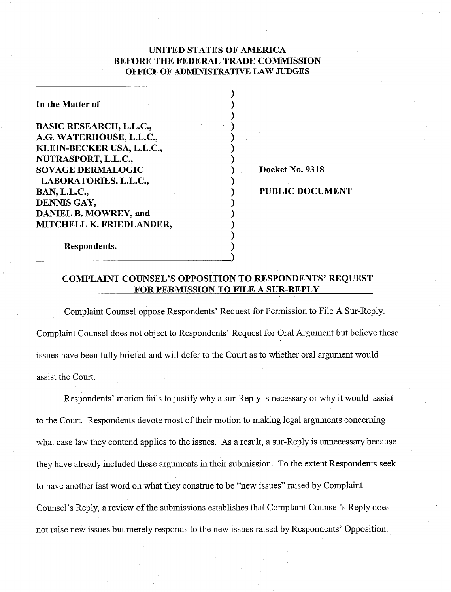# UNITED STATES OF AMERICA BEFORE THE FEDERAL TRADE COMMISSION OFFICE OF **ADMIMSTRATIVE LAW JUDGES**

 $)$  $)$  $\mathbf{)}$  $\mathbf{)}$  $\mathbf{)}$  $\mathbf{)}$  $\mathbf{)}$ 

 $\mathbf{)}$ 

 $\mathbf{)}$  $\blacksquare$  $\mathbf{)}$  $)$  $)$ 

In the Matter of

BASIC RESEARCH, L.L.C., A.G. WATERHOUSE, L.L.C., KLEIN-BECKER USA, L.L.C., NUTRASPORT, L.L.C., SOVAGE DERMALOGIC LABORATORIES, L.L.C., BAN, L.L.C., DENNIS GAY, DANIEL B. MOWREY, and MITCHELL K. FRIEDLANDER,

Respondents.

Docket No. 9318

PUBLIC DOCUMENT

# COMPLAINT COUNSEL'S OPPOSITION TO RESPONDENTS' REQUEST FOR PERMISSION TO FILE A SUR-REPLY

Complaint Counsel oppose Respondents' Request for Permission to File A Sur-Reply. Complaint Counsel does not object to Respondents' Request for Oral Argument but believe these issues have been fully briefed and will defer to the Court as to whether oral argument would assist the Court.

Respondents' motion fails to justify why a sur-Reply is necessary or why it would assist to the Court. Respondents devote most of their motion to making legal arguments concerning what case law they contend applies to the issues. As a result, a sur-Reply is unnecessary because they have already included these arguments in their submission. To the extent Respondents seek to have another last word on what they construe to be "new issues" raised by Complaint Counsel's Reply, a review of the submissions establishes that Complaint Counsel's Reply does not raise new issues but merely responds to the new issues raised by Respondents' Opposition.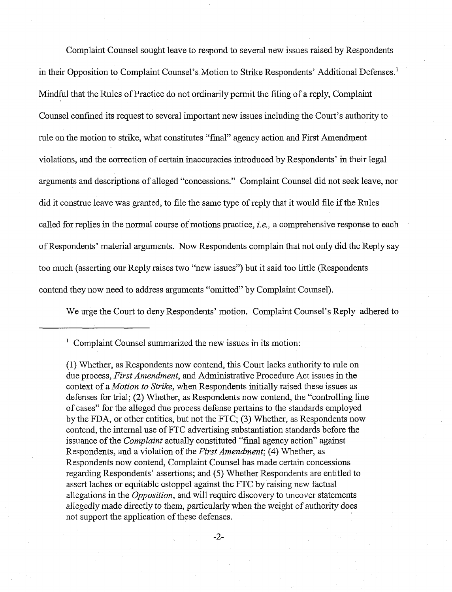Complaint Counsel sought leave to respond to several new issues raised by Respondents in their Opposition to Complaint Counsel's Motion to Strike Respondents' Additional Defenses.' Mindful that the Rules of Practice do not ordinarily permit the filing of a reply, Complaint Counsel confined its request to several important new issues including the Court's authority to rule on the motion to strike, what constitutes "final" agency action and First Amendment violations, and the correction of certain inaccuracies introduced by Respondents' in their legal arguments and descriptions of alleged "concessions." Complaint Counsel did not seek leave, nor did it construe leave was granted, to file the same type of reply that it would file if the Rules called for replies in the normal course of motions practice, i.e., a comprehensive response to each of Respondents' material arguments. Now Respondents complain that not only did the Reply say too much (asserting our Reply raises two "new issues") but it said too little (Respondents contend they now need to address arguments "omitted" by Complaint Counsel).

We urge the Court to deny Respondents' motion. Complaint Counsel's Reply adhered to

 $1$  Complaint Counsel summarized the new issues in its motion:

(1) Whether, as Respondents now contend, this Court lacks authority to rule on due process, First Amendment, and Administrative Procedure Act issues in the context of a *Motion to Strike*, when Respondents initially raised these issues as defenses for trial; (2) Whether, as Respondents now contend, the "controlling line of cases" for the alleged due process defense pertains to the standards employed by the FDA, or other entities, but not the FTC; **(3)** Whether, as Respondents now contend, the internal use of FTC advertising substantiation standards before the issuance of the Complaint actually constituted "final agency action" against Respondents, and a violation of the *First Amendment*; (4) Whether, as Respondents now contend, Complaint Counsel has made certain concessions regarding Respondents' assertions; and *(5)* Whether Respondents are entitled to assert laches or equitable estoppel against the FTC by raising new factual allegations in the *Opposition*, and will require discovery to uncover statements allegedly made directly to them, particularly when the weight of authority does not support the application of these defenses.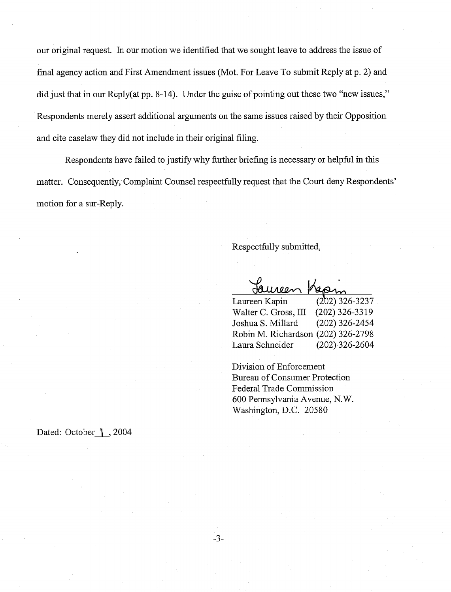our original request. In our motion we identified that we sought leave to address the issue of final agency action and First Amendment issues (Mot. For Leave To submit Reply at p. 2) and did just that in our Reply(at pp. 8-14). Under the guise of pointing out these two "new issues," Respondents merely assert additional arguments on the same issues raised by their Opposition and cite caselaw they did not include in their original filing.

Respondents have failed to justify why fwther briefing is necessary or helpful in this matter. Consequently, Complaint Counsel respectfully request that the Court deny Respondents' motion for a sur-Reply.

Respectfully submitted,

 $00<sub>0</sub>$ 

Laureen Kapin (2b2) 326-3237 Walter C. Gross, III (202) 326-3319 Joshua S. Millard (202) 326-2454 Robin M. Richardson (202) 326-2798 Laura Schneider (202) 326-2604

Division of Enforcement Bureau of Consumer Protection Federal Trade Commission 600 Pennsylvania Avenue, N. W. Washington, D.C. 20580

Dated: October 1, 2004